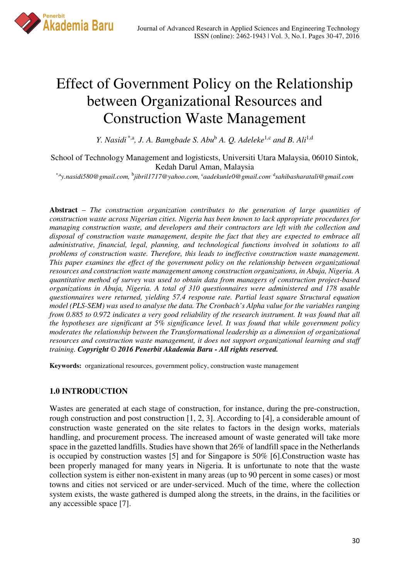

# Effect of Government Policy on the Relationship between Organizational Resources and Construction Waste Management

*Y. Nasidi*<sup>\*,a</sup>, *J. A. Bamgbade S. Abu*<sup>b</sup> *A. Q. Adeleke*<sup>1,c</sup> and *B. Ali*<sup>1,d</sup>

School of Technology Management and logisticsts, Universiti Utara Malaysia, 06010 Sintok, Kedah Darul Aman, Malaysia

*\**,a*y.nasidi580*@*gmail.com,* <sup>b</sup> *jibril1717@yahoo.com,* <sup>c</sup>*aadekunle0@gmail.com*, <sup>d</sup> *sahibasharatali@gmail.com*

**Abstract** – *The construction organization contributes to the generation of large quantities of construction waste across Nigerian cities. Nigeria has been known to lack appropriate procedures for managing construction waste, and developers and their contractors are left with the collection and disposal of construction waste management, despite the fact that they are expected to embrace all administrative, financial, legal, planning, and technological functions involved in solutions to all problems of construction waste. Therefore, this leads to ineffective construction waste management. This paper examines the effect of the government policy on the relationship between organizational resources and construction waste management among construction organizations, in Abuja, Nigeria. A quantitative method of survey was used to obtain data from managers of construction project-based organizations in Abuja, Nigeria. A total of 310 questionnaires were administered and 178 usable questionnaires were returned, yielding 57.4 response rate. Partial least square Structural equation model (PLS-SEM) was used to analyse the data. The Cronbach's Alpha value for the variables ranging from 0.885 to 0.972 indicates a very good reliability of the research instrument. It was found that all the hypotheses are significant at 5% significance level. It was found that while government policy moderates the relationship between the Transformational leadership as a dimension of organizational resources and construction waste management, it does not support organizational learning and staff training. Copyright © 2016 Penerbit Akademia Baru - All rights reserved.* 

**Keywords:** organizational resources, government policy, construction waste management

### **1.0 INTRODUCTION**

Wastes are generated at each stage of construction, for instance, during the pre-construction, rough construction and post construction [1, 2, 3]. According to [4], a considerable amount of construction waste generated on the site relates to factors in the design works, materials handling, and procurement process. The increased amount of waste generated will take more space in the gazetted landfills. Studies have shown that 26% of landfill space in the Netherlands is occupied by construction wastes [5] and for Singapore is 50% [6].Construction waste has been properly managed for many years in Nigeria. It is unfortunate to note that the waste collection system is either non-existent in many areas (up to 90 percent in some cases) or most towns and cities not serviced or are under-serviced. Much of the time, where the collection system exists, the waste gathered is dumped along the streets, in the drains, in the facilities or any accessible space [7].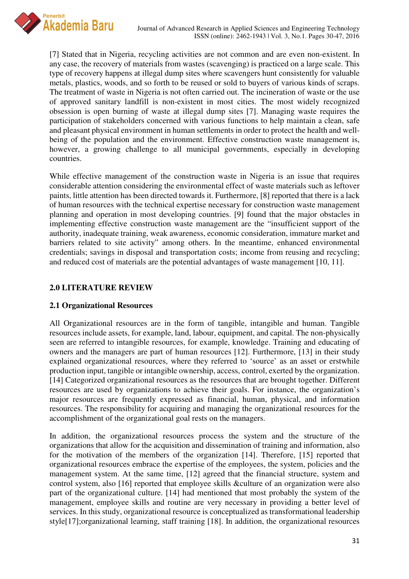

[7] Stated that in Nigeria, recycling activities are not common and are even non-existent. In any case, the recovery of materials from wastes (scavenging) is practiced on a large scale. This type of recovery happens at illegal dump sites where scavengers hunt consistently for valuable metals, plastics, woods, and so forth to be reused or sold to buyers of various kinds of scraps. The treatment of waste in Nigeria is not often carried out. The incineration of waste or the use of approved sanitary landfill is non-existent in most cities. The most widely recognized obsession is open burning of waste at illegal dump sites [7]. Managing waste requires the participation of stakeholders concerned with various functions to help maintain a clean, safe and pleasant physical environment in human settlements in order to protect the health and wellbeing of the population and the environment. Effective construction waste management is, however, a growing challenge to all municipal governments, especially in developing countries.

While effective management of the construction waste in Nigeria is an issue that requires considerable attention considering the environmental effect of waste materials such as leftover paints, little attention has been directed towards it. Furthermore, [8] reported that there is a lack of human resources with the technical expertise necessary for construction waste management planning and operation in most developing countries. [9] found that the major obstacles in implementing effective construction waste management are the "insufficient support of the authority, inadequate training, weak awareness, economic consideration, immature market and barriers related to site activity" among others. In the meantime, enhanced environmental credentials; savings in disposal and transportation costs; income from reusing and recycling; and reduced cost of materials are the potential advantages of waste management [10, 11].

## **2.0 LITERATURE REVIEW**

# **2.1 Organizational Resources**

All Organizational resources are in the form of tangible, intangible and human. Tangible resources include assets, for example, land, labour, equipment, and capital. The non-physically seen are referred to intangible resources, for example, knowledge. Training and educating of owners and the managers are part of human resources [12]. Furthermore, [13] in their study explained organizational resources, where they referred to 'source' as an asset or erstwhile production input, tangible or intangible ownership, access, control, exerted by the organization. [14] Categorized organizational resources as the resources that are brought together. Different resources are used by organizations to achieve their goals. For instance, the organization's major resources are frequently expressed as financial, human, physical, and information resources. The responsibility for acquiring and managing the organizational resources for the accomplishment of the organizational goal rests on the managers.

In addition, the organizational resources process the system and the structure of the organizations that allow for the acquisition and dissemination of training and information, also for the motivation of the members of the organization [14]. Therefore, [15] reported that organizational resources embrace the expertise of the employees, the system, policies and the management system. At the same time, [12] agreed that the financial structure, system and control system, also [16] reported that employee skills &culture of an organization were also part of the organizational culture. [14] had mentioned that most probably the system of the management, employee skills and routine are very necessary in providing a better level of services. In this study, organizational resource is conceptualized as transformational leadership style[17];organizational learning, staff training [18]. In addition, the organizational resources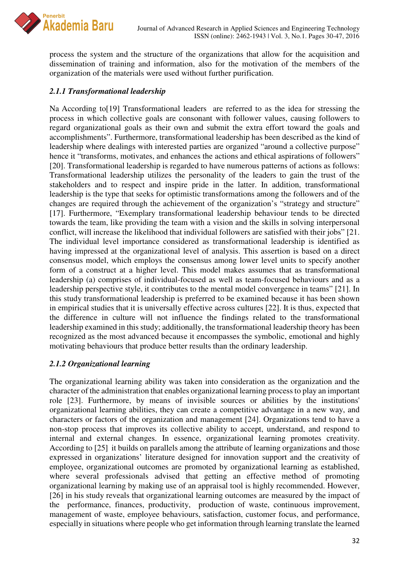

process the system and the structure of the organizations that allow for the acquisition and dissemination of training and information, also for the motivation of the members of the organization of the materials were used without further purification.

## *2.1.1 Transformational leadership*

Na According to[19] Transformational leaders are referred to as the idea for stressing the process in which collective goals are consonant with follower values, causing followers to regard organizational goals as their own and submit the extra effort toward the goals and accomplishments". Furthermore, transformational leadership has been described as the kind of leadership where dealings with interested parties are organized "around a collective purpose" hence it "transforms, motivates, and enhances the actions and ethical aspirations of followers" [20]. Transformational leadership is regarded to have numerous patterns of actions as follows: Transformational leadership utilizes the personality of the leaders to gain the trust of the stakeholders and to respect and inspire pride in the latter. In addition, transformational leadership is the type that seeks for optimistic transformations among the followers and of the changes are required through the achievement of the organization's "strategy and structure" [17]. Furthermore, "Exemplary transformational leadership behaviour tends to be directed towards the team, like providing the team with a vision and the skills in solving interpersonal conflict, will increase the likelihood that individual followers are satisfied with their jobs" [21. The individual level importance considered as transformational leadership is identified as having impressed at the organizational level of analysis. This assertion is based on a direct consensus model, which employs the consensus among lower level units to specify another form of a construct at a higher level. This model makes assumes that as transformational leadership (a) comprises of individual-focused as well as team-focused behaviours and as a leadership perspective style, it contributes to the mental model convergence in teams" [21]. In this study transformational leadership is preferred to be examined because it has been shown in empirical studies that it is universally effective across cultures [22]. It is thus, expected that the difference in culture will not influence the findings related to the transformational leadership examined in this study; additionally, the transformational leadership theory has been recognized as the most advanced because it encompasses the symbolic, emotional and highly motivating behaviours that produce better results than the ordinary leadership.

### *2.1.2 Organizational learning*

The organizational learning ability was taken into consideration as the organization and the character of the administration that enables organizational learning process to play an important role [23]. Furthermore, by means of invisible sources or abilities by the institutions' organizational learning abilities, they can create a competitive advantage in a new way, and characters or factors of the organization and management [24]. Organizations tend to have a non-stop process that improves its collective ability to accept, understand, and respond to internal and external changes. In essence, organizational learning promotes creativity. According to [25] it builds on parallels among the attribute of learning organizations and those expressed in organizations' literature designed for innovation support and the creativity of employee, organizational outcomes are promoted by organizational learning as established, where several professionals advised that getting an effective method of promoting organizational learning by making use of an appraisal tool is highly recommended. However, [26] in his study reveals that organizational learning outcomes are measured by the impact of the performance, finances, productivity, production of waste, continuous improvement, management of waste, employee behaviours, satisfaction, customer focus, and performance, especially in situations where people who get information through learning translate the learned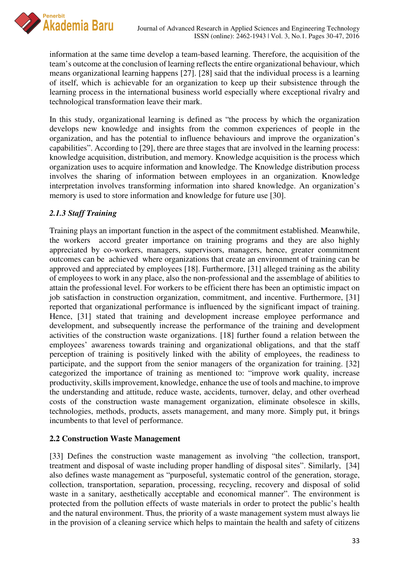

information at the same time develop a team-based learning. Therefore, the acquisition of the team's outcome at the conclusion of learning reflects the entire organizational behaviour, which means organizational learning happens [27]. [28] said that the individual process is a learning of itself, which is achievable for an organization to keep up their subsistence through the learning process in the international business world especially where exceptional rivalry and technological transformation leave their mark.

In this study, organizational learning is defined as "the process by which the organization develops new knowledge and insights from the common experiences of people in the organization, and has the potential to influence behaviours and improve the organization's capabilities". According to [29], there are three stages that are involved in the learning process: knowledge acquisition, distribution, and memory. Knowledge acquisition is the process which organization uses to acquire information and knowledge. The Knowledge distribution process involves the sharing of information between employees in an organization. Knowledge interpretation involves transforming information into shared knowledge. An organization's memory is used to store information and knowledge for future use [30].

# *2.1.3 Staff Training*

Training plays an important function in the aspect of the commitment established. Meanwhile, the workers accord greater importance on training programs and they are also highly appreciated by co-workers, managers, supervisors, managers, hence, greater commitment outcomes can be achieved where organizations that create an environment of training can be approved and appreciated by employees [18]. Furthermore, [31] alleged training as the ability of employees to work in any place, also the non-professional and the assemblage of abilities to attain the professional level. For workers to be efficient there has been an optimistic impact on job satisfaction in construction organization, commitment, and incentive. Furthermore, [31] reported that organizational performance is influenced by the significant impact of training. Hence, [31] stated that training and development increase employee performance and development, and subsequently increase the performance of the training and development activities of the construction waste organizations. [18] further found a relation between the employees' awareness towards training and organizational obligations, and that the staff perception of training is positively linked with the ability of employees, the readiness to participate, and the support from the senior managers of the organization for training. [32] categorized the importance of training as mentioned to: "improve work quality, increase productivity, skills improvement, knowledge, enhance the use of tools and machine, to improve the understanding and attitude, reduce waste, accidents, turnover, delay, and other overhead costs of the construction waste management organization, eliminate obsolesce in skills, technologies, methods, products, assets management, and many more. Simply put, it brings incumbents to that level of performance.

### **2.2 Construction Waste Management**

[33] Defines the construction waste management as involving "the collection, transport, treatment and disposal of waste including proper handling of disposal sites". Similarly, [34] also defines waste management as "purposeful, systematic control of the generation, storage, collection, transportation, separation, processing, recycling, recovery and disposal of solid waste in a sanitary, aesthetically acceptable and economical manner". The environment is protected from the pollution effects of waste materials in order to protect the public's health and the natural environment. Thus, the priority of a waste management system must always lie in the provision of a cleaning service which helps to maintain the health and safety of citizens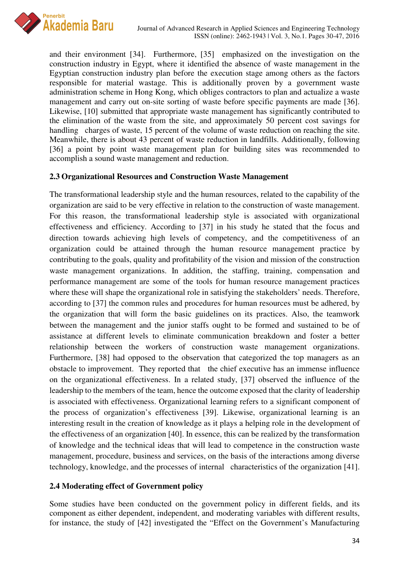

and their environment [34]. Furthermore, [35] emphasized on the investigation on the construction industry in Egypt, where it identified the absence of waste management in the Egyptian construction industry plan before the execution stage among others as the factors responsible for material wastage. This is additionally proven by a government waste administration scheme in Hong Kong, which obliges contractors to plan and actualize a waste management and carry out on-site sorting of waste before specific payments are made [36]. Likewise, [10] submitted that appropriate waste management has significantly contributed to the elimination of the waste from the site, and approximately 50 percent cost savings for handling charges of waste, 15 percent of the volume of waste reduction on reaching the site. Meanwhile, there is about 43 percent of waste reduction in landfills. Additionally, following [36] a point by point waste management plan for building sites was recommended to accomplish a sound waste management and reduction.

## **2.3 Organizational Resources and Construction Waste Management**

The transformational leadership style and the human resources, related to the capability of the organization are said to be very effective in relation to the construction of waste management. For this reason, the transformational leadership style is associated with organizational effectiveness and efficiency. According to [37] in his study he stated that the focus and direction towards achieving high levels of competency, and the competitiveness of an organization could be attained through the human resource management practice by contributing to the goals, quality and profitability of the vision and mission of the construction waste management organizations. In addition, the staffing, training, compensation and performance management are some of the tools for human resource management practices where these will shape the organizational role in satisfying the stakeholders' needs. Therefore, according to [37] the common rules and procedures for human resources must be adhered, by the organization that will form the basic guidelines on its practices. Also, the teamwork between the management and the junior staffs ought to be formed and sustained to be of assistance at different levels to eliminate communication breakdown and foster a better relationship between the workers of construction waste management organizations. Furthermore, [38] had opposed to the observation that categorized the top managers as an obstacle to improvement. They reported that the chief executive has an immense influence on the organizational effectiveness. In a related study, [37] observed the influence of the leadership to the members of the team, hence the outcome exposed that the clarity of leadership is associated with effectiveness. Organizational learning refers to a significant component of the process of organization's effectiveness [39]. Likewise, organizational learning is an interesting result in the creation of knowledge as it plays a helping role in the development of the effectiveness of an organization [40]. In essence, this can be realized by the transformation of knowledge and the technical ideas that will lead to competence in the construction waste management, procedure, business and services, on the basis of the interactions among diverse technology, knowledge, and the processes of internal characteristics of the organization [41].

### **2.4 Moderating effect of Government policy**

Some studies have been conducted on the government policy in different fields, and its component as either dependent, independent, and moderating variables with different results, for instance, the study of [42] investigated the "Effect on the Government's Manufacturing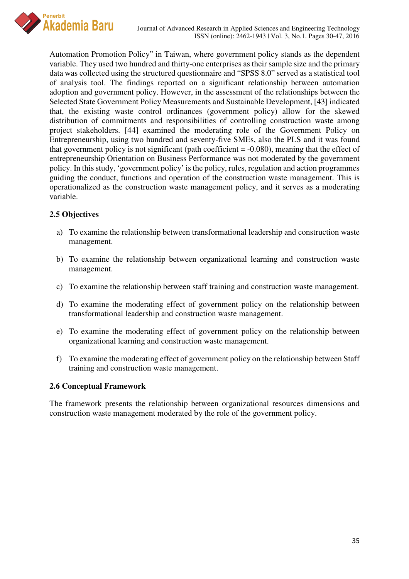

Automation Promotion Policy" in Taiwan, where government policy stands as the dependent variable. They used two hundred and thirty-one enterprises as their sample size and the primary data was collected using the structured questionnaire and "SPSS 8.0" served as a statistical tool of analysis tool. The findings reported on a significant relationship between automation adoption and government policy. However, in the assessment of the relationships between the Selected State Government Policy Measurements and Sustainable Development, [43] indicated that, the existing waste control ordinances (government policy) allow for the skewed distribution of commitments and responsibilities of controlling construction waste among project stakeholders. [44] examined the moderating role of the Government Policy on Entrepreneurship, using two hundred and seventy-five SMEs, also the PLS and it was found that government policy is not significant (path coefficient  $= -0.080$ ), meaning that the effect of entrepreneurship Orientation on Business Performance was not moderated by the government policy. In this study, 'government policy' is the policy, rules, regulation and action programmes guiding the conduct, functions and operation of the construction waste management. This is operationalized as the construction waste management policy, and it serves as a moderating variable.

## **2.5 Objectives**

- a) To examine the relationship between transformational leadership and construction waste management.
- b) To examine the relationship between organizational learning and construction waste management.
- c) To examine the relationship between staff training and construction waste management.
- d) To examine the moderating effect of government policy on the relationship between transformational leadership and construction waste management.
- e) To examine the moderating effect of government policy on the relationship between organizational learning and construction waste management.
- f) To examine the moderating effect of government policy on the relationship between Staff training and construction waste management.

### **2.6 Conceptual Framework**

The framework presents the relationship between organizational resources dimensions and construction waste management moderated by the role of the government policy.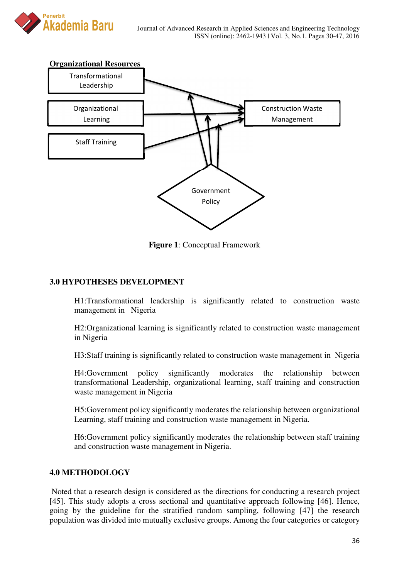



**Figure 1**: Conceptual Framework

# **3.0 HYPOTHESES DEVELOPMENT**

H1:Transformational leadership is significantly related to construction waste management in Nigeria

H2:Organizational learning is significantly related to construction waste management in Nigeria

H3:Staff training is significantly related to construction waste management in Nigeria

H4:Government policy significantly moderates the relationship between transformational Leadership, organizational learning, staff training and construction waste management in Nigeria

H5:Government policy significantly moderates the relationship between organizational Learning, staff training and construction waste management in Nigeria.

H6:Government policy significantly moderates the relationship between staff training and construction waste management in Nigeria.

# **4.0 METHODOLOGY**

 Noted that a research design is considered as the directions for conducting a research project [45]. This study adopts a cross sectional and quantitative approach following [46]. Hence, going by the guideline for the stratified random sampling, following [47] the research population was divided into mutually exclusive groups. Among the four categories or category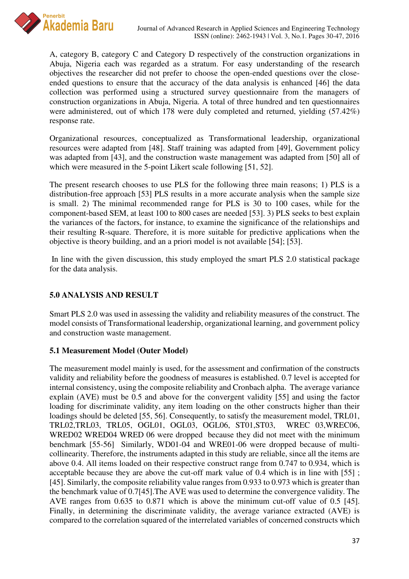

A, category B, category C and Category D respectively of the construction organizations in Abuja, Nigeria each was regarded as a stratum. For easy understanding of the research objectives the researcher did not prefer to choose the open-ended questions over the closeended questions to ensure that the accuracy of the data analysis is enhanced [46] the data collection was performed using a structured survey questionnaire from the managers of construction organizations in Abuja, Nigeria. A total of three hundred and ten questionnaires were administered, out of which 178 were duly completed and returned, yielding (57.42%) response rate.

Organizational resources, conceptualized as Transformational leadership, organizational resources were adapted from [48]. Staff training was adapted from [49], Government policy was adapted from [43], and the construction waste management was adapted from [50] all of which were measured in the 5-point Likert scale following [51, 52].

The present research chooses to use PLS for the following three main reasons; 1) PLS is a distribution-free approach [53] PLS results in a more accurate analysis when the sample size is small. 2) The minimal recommended range for PLS is 30 to 100 cases, while for the component-based SEM, at least 100 to 800 cases are needed [53]. 3) PLS seeks to best explain the variances of the factors, for instance, to examine the significance of the relationships and their resulting R-square. Therefore, it is more suitable for predictive applications when the objective is theory building, and an a priori model is not available [54]; [53].

 In line with the given discussion, this study employed the smart PLS 2.0 statistical package for the data analysis.

# **5.0 ANALYSIS AND RESULT**

Smart PLS 2.0 was used in assessing the validity and reliability measures of the construct. The model consists of Transformational leadership, organizational learning, and government policy and construction waste management.

# **5.1 Measurement Model (Outer Model)**

The measurement model mainly is used, for the assessment and confirmation of the constructs validity and reliability before the goodness of measures is established. 0.7 level is accepted for internal consistency, using the composite reliability and Cronbach alpha. The average variance explain (AVE) must be 0.5 and above for the convergent validity [55] and using the factor loading for discriminate validity, any item loading on the other constructs higher than their loadings should be deleted [55, 56]. Consequently, to satisfy the measurement model, TRL01, TRL02,TRL03, TRL05, OGL01, OGL03, OGL06, ST01,ST03, WREC 03,WREC06, WRED02 WRED04 WRED 06 were dropped because they did not meet with the minimum benchmark [55-56] Similarly, WD01-04 and WRE01-06 were dropped because of multicollinearity. Therefore, the instruments adapted in this study are reliable, since all the items are above 0.4. All items loaded on their respective construct range from 0.747 to 0.934, which is acceptable because they are above the cut-off mark value of 0.4 which is in line with [55] ; [45]. Similarly, the composite reliability value ranges from 0.933 to 0.973 which is greater than the benchmark value of 0.7[45].The AVE was used to determine the convergence validity. The AVE ranges from 0.635 to 0.871 which is above the minimum cut-off value of 0.5 [45]. Finally, in determining the discriminate validity, the average variance extracted (AVE) is compared to the correlation squared of the interrelated variables of concerned constructs which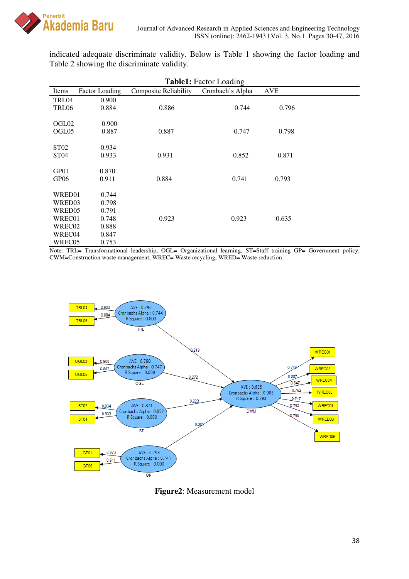

indicated adequate discriminate validity. Below is Table 1 showing the factor loading and Table 2 showing the discriminate validity.

| <b>Table1:</b> Factor Loading |                       |                              |                  |            |  |  |  |
|-------------------------------|-----------------------|------------------------------|------------------|------------|--|--|--|
| Items                         | <b>Factor Loading</b> | <b>Composite Reliability</b> | Cronbach's Alpha | <b>AVE</b> |  |  |  |
| TRL04                         | 0.900                 |                              |                  |            |  |  |  |
| TRL06                         | 0.884                 | 0.886                        | 0.744            | 0.796      |  |  |  |
|                               |                       |                              |                  |            |  |  |  |
| OGL02                         | 0.900                 |                              |                  |            |  |  |  |
| OGL05                         | 0.887                 | 0.887                        | 0.747            | 0.798      |  |  |  |
|                               |                       |                              |                  |            |  |  |  |
| ST <sub>02</sub>              | 0.934                 |                              |                  |            |  |  |  |
| ST <sub>04</sub>              | 0.933                 | 0.931                        | 0.852            | 0.871      |  |  |  |
| GP01                          | 0.870                 |                              |                  |            |  |  |  |
| GP <sub>06</sub>              | 0.911                 | 0.884                        | 0.741            | 0.793      |  |  |  |
|                               |                       |                              |                  |            |  |  |  |
| WRED01                        | 0.744                 |                              |                  |            |  |  |  |
| WRED03                        | 0.798                 |                              |                  |            |  |  |  |
| WRED05                        | 0.791                 |                              |                  |            |  |  |  |
| WREC01                        | 0.748                 | 0.923                        | 0.923            | 0.635      |  |  |  |
| WREC02                        | 0.888                 |                              |                  |            |  |  |  |
| WREC04                        | 0.847                 |                              |                  |            |  |  |  |
| WREC05                        | 0.753                 |                              |                  |            |  |  |  |

Note: TRL= Transformational leadership, OGL= Organizational learning, ST=Staff training GP= Government policy, CWM=Construction waste management, WREC= Waste recycling, WRED= Waste reduction



**Figure2**: Measurement model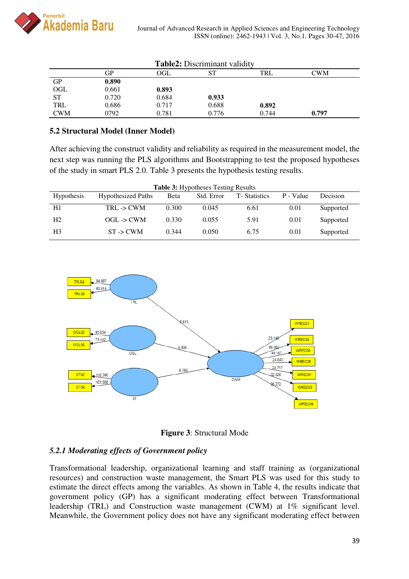

| <b>Table2:</b> Discriminant validity |       |       |       |       |       |
|--------------------------------------|-------|-------|-------|-------|-------|
|                                      | GР    | OGL   | SТ    | TRL   | CWM   |
| <b>GP</b>                            | 0.890 |       |       |       |       |
| OGL                                  | 0.661 | 0.893 |       |       |       |
| <b>ST</b>                            | 0.720 | 0.684 | 0.933 |       |       |
| TRL                                  | 0.686 | 0.717 | 0.688 | 0.892 |       |
| <b>CWM</b>                           | 0792  | 0.781 | 0.776 | 0.744 | 0.797 |

# **5.2 Structural Model (Inner Model)**

After achieving the construct validity and reliability as required in the measurement model, the next step was running the PLS algorithms and Bootstrapping to test the proposed hypotheses of the study in smart PLS 2.0. Table 3 presents the hypothesis testing results.

| <b>Table 3:</b> Hypotheses Testing Results |                           |             |            |                      |           |           |  |
|--------------------------------------------|---------------------------|-------------|------------|----------------------|-----------|-----------|--|
| <b>Hypothesis</b>                          | <b>Hypothesized Paths</b> | <b>Beta</b> | Std. Error | <b>T</b> -Statistics | P - Value | Decision  |  |
| H1                                         | TRL > CWM                 | 0.300       | 0.045      | 6.61                 | 0.01      | Supported |  |
| Н2                                         | $OGL \rightarrow CWM$     | 0.330       | 0.055      | 5.91                 | 0.01      | Supported |  |
| H3                                         | $ST \rightarrow CWM$      | 0.344       | 0.050      | 6.75                 | 0.01      | Supported |  |





### *5.2.1 Moderating effects of Government policy*

Transformational leadership, organizational learning and staff training as (organizational resources) and construction waste management, the Smart PLS was used for this study to estimate the direct effects among the variables. As shown in Table 4, the results indicate that government policy (GP) has a significant moderating effect between Transformational leadership (TRL) and Construction waste management (CWM) at 1% significant level. Meanwhile, the Government policy does not have any significant moderating effect between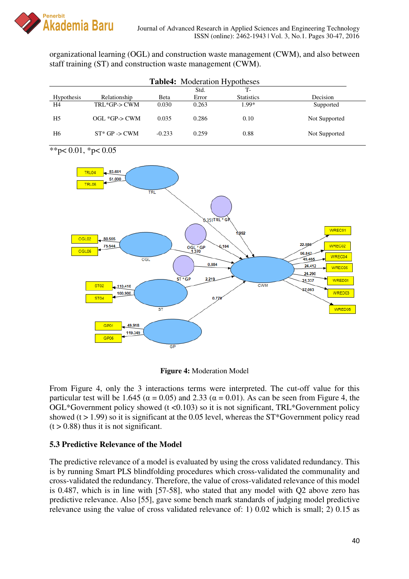

organizational learning (OGL) and construction waste management (CWM), and also between staff training (ST) and construction waste management (CWM).

| <b>Table4:</b> Moderation Hypotheses |                    |              |       |                   |               |
|--------------------------------------|--------------------|--------------|-------|-------------------|---------------|
|                                      |                    |              | Std.  | Т-                |               |
| Hypothesis                           | Relationship       | <b>B</b> eta | Error | <b>Statistics</b> | Decision      |
| H4                                   | TRL*GP-> CWM       | 0.030        | 0.263 | $1.99*$           | Supported     |
| H <sub>5</sub>                       | $OGL$ *GP- $>$ CWM | 0.035        | 0.286 | 0.10              | Not Supported |
| H6                                   | $ST^*$ GP -> CWM   | $-0.233$     | 0.259 | 0.88              | Not Supported |

\*\*p $< 0.01$ , \*p $< 0.05$ 



**Figure 4:** Moderation Model

From Figure 4, only the 3 interactions terms were interpreted. The cut-off value for this particular test will be 1.645 ( $\alpha$  = 0.05) and 2.33 ( $\alpha$  = 0.01). As can be seen from Figure 4, the  $OGL*G$ overnment policy showed (t <0.103) so it is not significant, TRL\*Government policy showed ( $t > 1.99$ ) so it is significant at the 0.05 level, whereas the ST\*Government policy read  $(t > 0.88)$  thus it is not significant.

# **5.3 Predictive Relevance of the Model**

The predictive relevance of a model is evaluated by using the cross validated redundancy. This is by running Smart PLS blindfolding procedures which cross-validated the communality and cross-validated the redundancy. Therefore, the value of cross-validated relevance of this model is 0.487, which is in line with [57-58], who stated that any model with Q2 above zero has predictive relevance. Also [55], gave some bench mark standards of judging model predictive relevance using the value of cross validated relevance of: 1) 0.02 which is small; 2) 0.15 as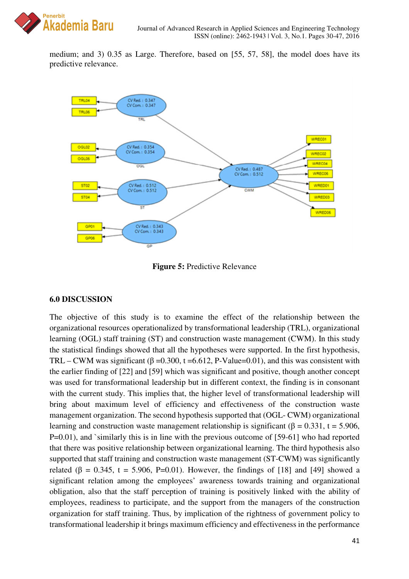

medium; and 3) 0.35 as Large. Therefore, based on [55, 57, 58], the model does have its predictive relevance.



**Figure 5:** Predictive Relevance

# **6.0 DISCUSSION**

The objective of this study is to examine the effect of the relationship between the organizational resources operationalized by transformational leadership (TRL), organizational learning (OGL) staff training (ST) and construction waste management (CWM). In this study the statistical findings showed that all the hypotheses were supported. In the first hypothesis, TRL – CWM was significant ( $\beta$  =0.300, t =6.612, P-Value=0.01), and this was consistent with the earlier finding of [22] and [59] which was significant and positive, though another concept was used for transformational leadership but in different context, the finding is in consonant with the current study. This implies that, the higher level of transformational leadership will bring about maximum level of efficiency and effectiveness of the construction waste management organization. The second hypothesis supported that (OGL- CWM) organizational learning and construction waste management relationship is significant ( $\beta = 0.331$ , t = 5.906, P=0.01), and `similarly this is in line with the previous outcome of [59-61] who had reported that there was positive relationship between organizational learning. The third hypothesis also supported that staff training and construction waste management (ST-CWM) was significantly related ( $\beta$  = 0.345, t = 5.906, P=0.01). However, the findings of [18] and [49] showed a significant relation among the employees' awareness towards training and organizational obligation, also that the staff perception of training is positively linked with the ability of employees, readiness to participate, and the support from the managers of the construction organization for staff training. Thus, by implication of the rightness of government policy to transformational leadership it brings maximum efficiency and effectiveness in the performance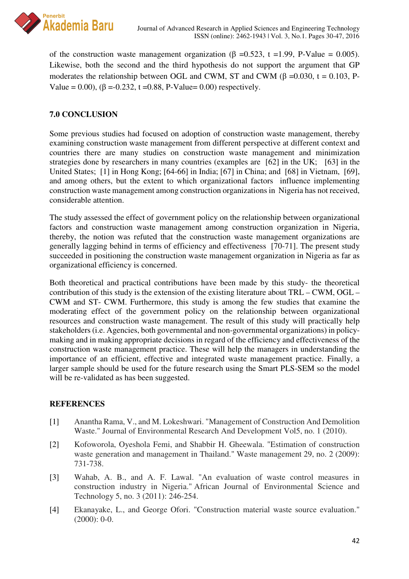

of the construction waste management organization (β =0.523, t =1.99, P-Value = 0.005). Likewise, both the second and the third hypothesis do not support the argument that GP moderates the relationship between OGL and CWM, ST and CWM ( $\beta$  =0.030, t = 0.103, P-Value =  $0.00$ ), ( $\beta$  =  $-0.232$ , t = 0.88, P-Value = 0.00) respectively.

# **7.0 CONCLUSION**

Some previous studies had focused on adoption of construction waste management, thereby examining construction waste management from different perspective at different context and countries there are many studies on construction waste management and minimization strategies done by researchers in many countries (examples are [62] in the UK; [63] in the United States; [1] in Hong Kong; [64-66] in India; [67] in China; and [68] in Vietnam, [69], and among others, but the extent to which organizational factors influence implementing construction waste management among construction organizations in Nigeria has not received, considerable attention.

The study assessed the effect of government policy on the relationship between organizational factors and construction waste management among construction organization in Nigeria, thereby, the notion was refuted that the construction waste management organizations are generally lagging behind in terms of efficiency and effectiveness [70-71]. The present study succeeded in positioning the construction waste management organization in Nigeria as far as organizational efficiency is concerned.

Both theoretical and practical contributions have been made by this study- the theoretical contribution of this study is the extension of the existing literature about TRL – CWM, OGL – CWM and ST- CWM. Furthermore, this study is among the few studies that examine the moderating effect of the government policy on the relationship between organizational resources and construction waste management. The result of this study will practically help stakeholders (i.e. Agencies, both governmental and non-governmental organizations) in policymaking and in making appropriate decisions in regard of the efficiency and effectiveness of the construction waste management practice. These will help the managers in understanding the importance of an efficient, effective and integrated waste management practice. Finally, a larger sample should be used for the future research using the Smart PLS-SEM so the model will be re-validated as has been suggested.

# **REFERENCES**

- [1] Anantha Rama, V., and M. Lokeshwari. "Management of Construction And Demolition Waste." Journal of Environmental Research And Development Vol5, no. 1 (2010).
- [2] Kofoworola, Oyeshola Femi, and Shabbir H. Gheewala. "Estimation of construction waste generation and management in Thailand." Waste management 29, no. 2 (2009): 731-738.
- [3] Wahab, A. B., and A. F. Lawal. "An evaluation of waste control measures in construction industry in Nigeria." African Journal of Environmental Science and Technology 5, no. 3 (2011): 246-254.
- [4] Ekanayake, L., and George Ofori. "Construction material waste source evaluation." (2000): 0-0.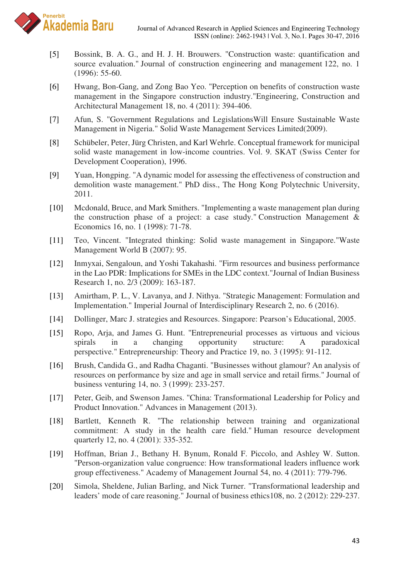

- [5] Bossink, B. A. G., and H. J. H. Brouwers. "Construction waste: quantification and source evaluation." Journal of construction engineering and management 122, no. 1 (1996): 55-60.
- [6] Hwang, Bon-Gang, and Zong Bao Yeo. "Perception on benefits of construction waste management in the Singapore construction industry."Engineering, Construction and Architectural Management 18, no. 4 (2011): 394-406.
- [7] Afun, S. "Government Regulations and LegislationsWill Ensure Sustainable Waste Management in Nigeria." Solid Waste Management Services Limited(2009).
- [8] Schübeler, Peter, Jürg Christen, and Karl Wehrle. Conceptual framework for municipal solid waste management in low-income countries. Vol. 9. SKAT (Swiss Center for Development Cooperation), 1996.
- [9] Yuan, Hongping. "A dynamic model for assessing the effectiveness of construction and demolition waste management." PhD diss., The Hong Kong Polytechnic University, 2011.
- [10] Mcdonald, Bruce, and Mark Smithers. "Implementing a waste management plan during the construction phase of a project: a case study." Construction Management & Economics 16, no. 1 (1998): 71-78.
- [11] Teo, Vincent. "Integrated thinking: Solid waste management in Singapore."Waste Management World B (2007): 95.
- [12] Inmyxai, Sengaloun, and Yoshi Takahashi. "Firm resources and business performance in the Lao PDR: Implications for SMEs in the LDC context."Journal of Indian Business Research 1, no. 2/3 (2009): 163-187.
- [13] Amirtham, P. L., V. Lavanya, and J. Nithya. "Strategic Management: Formulation and Implementation." Imperial Journal of Interdisciplinary Research 2, no. 6 (2016).
- [14] Dollinger, Marc J. strategies and Resources. Singapore: Pearson's Educational, 2005.
- [15] Ropo, Arja, and James G. Hunt. "Entrepreneurial processes as virtuous and vicious spirals in a changing opportunity structure: A paradoxical perspective." Entrepreneurship: Theory and Practice 19, no. 3 (1995): 91-112.
- [16] Brush, Candida G., and Radha Chaganti. "Businesses without glamour? An analysis of resources on performance by size and age in small service and retail firms." Journal of business venturing 14, no. 3 (1999): 233-257.
- [17] Peter, Geib, and Swenson James. "China: Transformational Leadership for Policy and Product Innovation." Advances in Management (2013).
- [18] Bartlett, Kenneth R. "The relationship between training and organizational commitment: A study in the health care field." Human resource development quarterly 12, no. 4 (2001): 335-352.
- [19] Hoffman, Brian J., Bethany H. Bynum, Ronald F. Piccolo, and Ashley W. Sutton. "Person-organization value congruence: How transformational leaders influence work group effectiveness." Academy of Management Journal 54, no. 4 (2011): 779-796.
- [20] Simola, Sheldene, Julian Barling, and Nick Turner. "Transformational leadership and leaders' mode of care reasoning." Journal of business ethics108, no. 2 (2012): 229-237.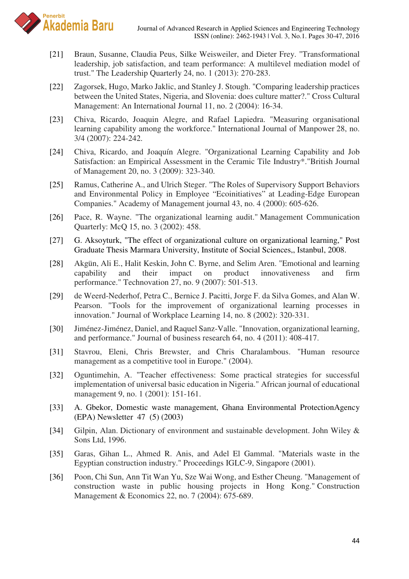

- [21] Braun, Susanne, Claudia Peus, Silke Weisweiler, and Dieter Frey. "Transformational leadership, job satisfaction, and team performance: A multilevel mediation model of trust." The Leadership Quarterly 24, no. 1 (2013): 270-283.
- [22] Zagorsek, Hugo, Marko Jaklic, and Stanley J. Stough. "Comparing leadership practices between the United States, Nigeria, and Slovenia: does culture matter?." Cross Cultural Management: An International Journal 11, no. 2 (2004): 16-34.
- [23] Chiva, Ricardo, Joaquin Alegre, and Rafael Lapiedra. "Measuring organisational learning capability among the workforce." International Journal of Manpower 28, no. 3/4 (2007): 224-242.
- [24] Chiva, Ricardo, and Joaquín Alegre. "Organizational Learning Capability and Job Satisfaction: an Empirical Assessment in the Ceramic Tile Industry\*."British Journal of Management 20, no. 3 (2009): 323-340.
- [25] Ramus, Catherine A., and Ulrich Steger. "The Roles of Supervisory Support Behaviors and Environmental Policy in Employee "Ecoinitiatives" at Leading-Edge European Companies." Academy of Management journal 43, no. 4 (2000): 605-626.
- [26] Pace, R. Wayne. "The organizational learning audit." Management Communication Quarterly: McQ 15, no. 3 (2002): 458.
- [27] G. Aksoyturk, "The effect of organizational culture on organizational learning," Post Graduate Thesis Marmara University, Institute of Social Sciences,, Istanbul, 2008.
- [28] Akgün, Ali E., Halit Keskin, John C. Byrne, and Selim Aren. "Emotional and learning capability and their impact on product innovativeness and firm performance." Technovation 27, no. 9 (2007): 501-513.
- [29] de Weerd-Nederhof, Petra C., Bernice J. Pacitti, Jorge F. da Silva Gomes, and Alan W. Pearson. "Tools for the improvement of organizational learning processes in innovation." Journal of Workplace Learning 14, no. 8 (2002): 320-331.
- [30] Jiménez-Jiménez, Daniel, and Raquel Sanz-Valle. "Innovation, organizational learning, and performance." Journal of business research 64, no. 4 (2011): 408-417.
- [31] Stavrou, Eleni, Chris Brewster, and Chris Charalambous. "Human resource management as a competitive tool in Europe." (2004).
- [32] Oguntimehin, A. "Teacher effectiveness: Some practical strategies for successful implementation of universal basic education in Nigeria." African journal of educational management 9, no. 1 (2001): 151-161.
- [33] A. Gbekor, Domestic waste management, Ghana Environmental ProtectionAgency (EPA) Newsletter 47 (5) (2003)
- [34] Gilpin, Alan. Dictionary of environment and sustainable development. John Wiley & Sons Ltd, 1996.
- [35] Garas, Gihan L., Ahmed R. Anis, and Adel El Gammal. "Materials waste in the Egyptian construction industry." Proceedings IGLC-9, Singapore (2001).
- [36] Poon, Chi Sun, Ann Tit Wan Yu, Sze Wai Wong, and Esther Cheung. "Management of construction waste in public housing projects in Hong Kong." Construction Management & Economics 22, no. 7 (2004): 675-689.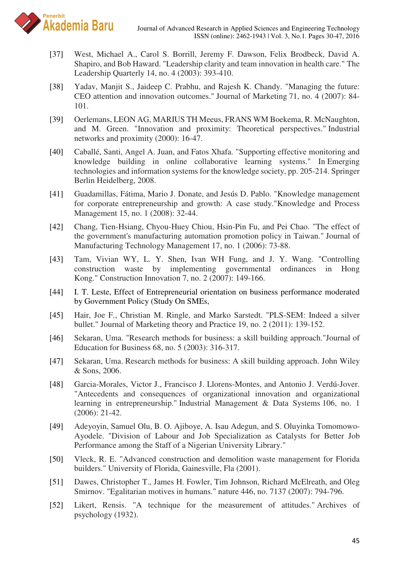

- [37] West, Michael A., Carol S. Borrill, Jeremy F. Dawson, Felix Brodbeck, David A. Shapiro, and Bob Haward. "Leadership clarity and team innovation in health care." The Leadership Quarterly 14, no. 4 (2003): 393-410.
- [38] Yadav, Manjit S., Jaideep C. Prabhu, and Rajesh K. Chandy. "Managing the future: CEO attention and innovation outcomes." Journal of Marketing 71, no. 4 (2007): 84- 101.
- [39] Oerlemans, LEON AG, MARIUS TH Meeus, FRANS WM Boekema, R. McNaughton, and M. Green. "Innovation and proximity: Theoretical perspectives." Industrial networks and proximity (2000): 16-47.
- [40] Caballé, Santi, Angel A. Juan, and Fatos Xhafa. "Supporting effective monitoring and knowledge building in online collaborative learning systems." In Emerging technologies and information systems for the knowledge society, pp. 205-214. Springer Berlin Heidelberg, 2008.
- [41] Guadamillas, Fátima, Mario J. Donate, and Jesús D. Pablo. "Knowledge management for corporate entrepreneurship and growth: A case study."Knowledge and Process Management 15, no. 1 (2008): 32-44.
- [42] Chang, Tien-Hsiang, Chyou-Huey Chiou, Hsin-Pin Fu, and Pei Chao. "The effect of the government's manufacturing automation promotion policy in Taiwan." Journal of Manufacturing Technology Management 17, no. 1 (2006): 73-88.
- [43] Tam, Vivian WY, L. Y. Shen, Ivan WH Fung, and J. Y. Wang. "Controlling construction waste by implementing governmental ordinances in Hong Kong." Construction Innovation 7, no. 2 (2007): 149-166.
- [44] I. T. Leste, Effect of Entrepreneurial orientation on business performance moderated by Government Policy (Study On SMEs,
- [45] Hair, Joe F., Christian M. Ringle, and Marko Sarstedt. "PLS-SEM: Indeed a silver bullet." Journal of Marketing theory and Practice 19, no. 2 (2011): 139-152.
- [46] Sekaran, Uma. "Research methods for business: a skill building approach."Journal of Education for Business 68, no. 5 (2003): 316-317.
- [47] Sekaran, Uma. Research methods for business: A skill building approach. John Wiley & Sons, 2006.
- [48] Garcia-Morales, Victor J., Francisco J. Llorens-Montes, and Antonio J. Verdú-Jover. "Antecedents and consequences of organizational innovation and organizational learning in entrepreneurship." Industrial Management & Data Systems 106, no. 1 (2006): 21-42.
- [49] Adeyoyin, Samuel Olu, B. O. Ajiboye, A. Isau Adegun, and S. Oluyinka Tomomowo-Ayodele. "Division of Labour and Job Specialization as Catalysts for Better Job Performance among the Staff of a Nigerian University Library."
- [50] Vleck, R. E. "Advanced construction and demolition waste management for Florida builders." University of Florida, Gainesville, Fla (2001).
- [51] Dawes, Christopher T., James H. Fowler, Tim Johnson, Richard McElreath, and Oleg Smirnov. "Egalitarian motives in humans." nature 446, no. 7137 (2007): 794-796.
- [52] Likert, Rensis. "A technique for the measurement of attitudes." Archives of psychology (1932).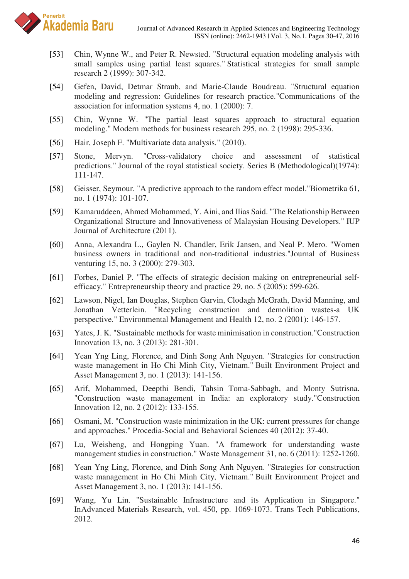

- [53] Chin, Wynne W., and Peter R. Newsted. "Structural equation modeling analysis with small samples using partial least squares." Statistical strategies for small sample research 2 (1999): 307-342.
- [54] Gefen, David, Detmar Straub, and Marie-Claude Boudreau. "Structural equation modeling and regression: Guidelines for research practice."Communications of the association for information systems 4, no. 1 (2000): 7.
- [55] Chin, Wynne W. "The partial least squares approach to structural equation modeling." Modern methods for business research 295, no. 2 (1998): 295-336.
- [56] Hair, Joseph F. "Multivariate data analysis." (2010).
- [57] Stone, Mervyn. "Cross-validatory choice and assessment of statistical predictions." Journal of the royal statistical society. Series B (Methodological)(1974): 111-147.
- [58] Geisser, Seymour. "A predictive approach to the random effect model."Biometrika 61, no. 1 (1974): 101-107.
- [59] Kamaruddeen, Ahmed Mohammed, Y. Aini, and Ilias Said. "The Relationship Between Organizational Structure and Innovativeness of Malaysian Housing Developers." IUP Journal of Architecture (2011).
- [60] Anna, Alexandra L., Gaylen N. Chandler, Erik Jansen, and Neal P. Mero. "Women business owners in traditional and non-traditional industries."Journal of Business venturing 15, no. 3 (2000): 279-303.
- [61] Forbes, Daniel P. "The effects of strategic decision making on entrepreneurial selfefficacy." Entrepreneurship theory and practice 29, no. 5 (2005): 599-626.
- [62] Lawson, Nigel, Ian Douglas, Stephen Garvin, Clodagh McGrath, David Manning, and Jonathan Vetterlein. "Recycling construction and demolition wastes-a UK perspective." Environmental Management and Health 12, no. 2 (2001): 146-157.
- [63] Yates, J. K. "Sustainable methods for waste minimisation in construction."Construction Innovation 13, no. 3 (2013): 281-301.
- [64] Yean Yng Ling, Florence, and Dinh Song Anh Nguyen. "Strategies for construction waste management in Ho Chi Minh City, Vietnam." Built Environment Project and Asset Management 3, no. 1 (2013): 141-156.
- [65] Arif, Mohammed, Deepthi Bendi, Tahsin Toma-Sabbagh, and Monty Sutrisna. "Construction waste management in India: an exploratory study."Construction Innovation 12, no. 2 (2012): 133-155.
- [66] Osmani, M. "Construction waste minimization in the UK: current pressures for change and approaches." Procedia-Social and Behavioral Sciences 40 (2012): 37-40.
- [67] Lu, Weisheng, and Hongping Yuan. "A framework for understanding waste management studies in construction." Waste Management 31, no. 6 (2011): 1252-1260.
- [68] Yean Yng Ling, Florence, and Dinh Song Anh Nguyen. "Strategies for construction waste management in Ho Chi Minh City, Vietnam." Built Environment Project and Asset Management 3, no. 1 (2013): 141-156.
- [69] Wang, Yu Lin. "Sustainable Infrastructure and its Application in Singapore." InAdvanced Materials Research, vol. 450, pp. 1069-1073. Trans Tech Publications, 2012.